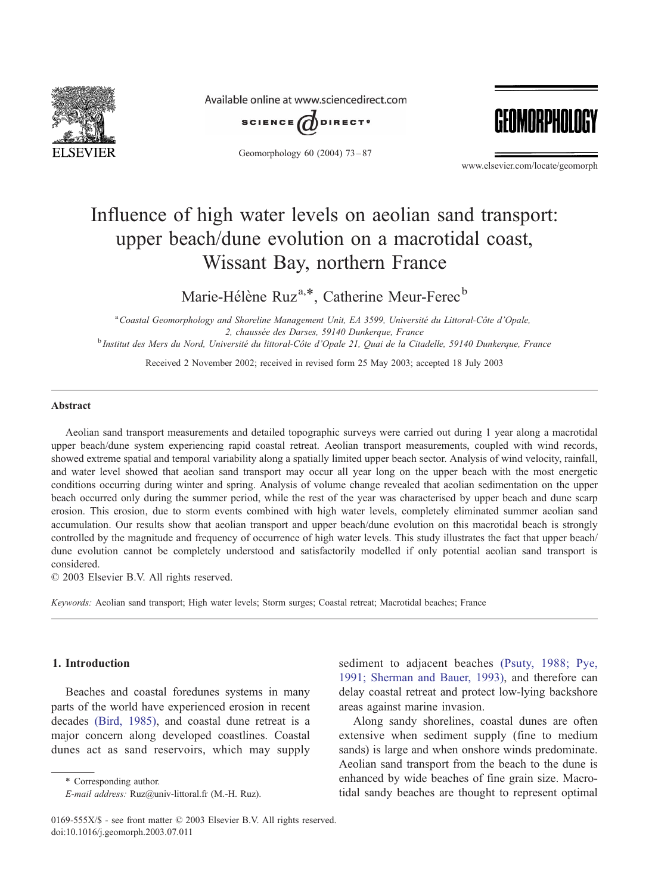

Available online at www.sciencedirect.com



Geomorphology 60 (2004) 73 – 87



www.elsevier.com/locate/geomorph

# Influence of high water levels on aeolian sand transport: upper beach/dune evolution on a macrotidal coast, Wissant Bay, northern France

Marie-Hélène Ruz<sup>a,\*</sup>, Catherine Meur-Ferec<sup>b</sup>

<sup>a</sup> Coastal Geomorphology and Shoreline Management Unit, EA 3599, Université du Littoral-Côte d'Opale, 2, chaussée des Darses, 59140 Dunkerque, France b Institut des Mers du Nord, Université du littoral-Côte d'Opale 21, Quai de la Citadelle, 59140 Dunkerque, France

Received 2 November 2002; received in revised form 25 May 2003; accepted 18 July 2003

## Abstract

Aeolian sand transport measurements and detailed topographic surveys were carried out during 1 year along a macrotidal upper beach/dune system experiencing rapid coastal retreat. Aeolian transport measurements, coupled with wind records, showed extreme spatial and temporal variability along a spatially limited upper beach sector. Analysis of wind velocity, rainfall, and water level showed that aeolian sand transport may occur all year long on the upper beach with the most energetic conditions occurring during winter and spring. Analysis of volume change revealed that aeolian sedimentation on the upper beach occurred only during the summer period, while the rest of the year was characterised by upper beach and dune scarp erosion. This erosion, due to storm events combined with high water levels, completely eliminated summer aeolian sand accumulation. Our results show that aeolian transport and upper beach/dune evolution on this macrotidal beach is strongly controlled by the magnitude and frequency of occurrence of high water levels. This study illustrates the fact that upper beach/ dune evolution cannot be completely understood and satisfactorily modelled if only potential aeolian sand transport is considered.

 $\odot$  2003 Elsevier B.V. All rights reserved.

Keywords: Aeolian sand transport; High water levels; Storm surges; Coastal retreat; Macrotidal beaches; France

# 1. Introduction

Beaches and coastal foredunes systems in many parts of the world have experienced erosion in recent decades [\(Bird, 1985\),](#page-14-0) and coastal dune retreat is a major concern along developed coastlines. Coastal dunes act as sand reservoirs, which may supply

\* Corresponding author.

sediment to adjacent beaches [\(Psuty, 1988; Pye,](#page-14-0) 1991; Sherman and Bauer, 1993), and therefore can delay coastal retreat and protect low-lying backshore areas against marine invasion.

Along sandy shorelines, coastal dunes are often extensive when sediment supply (fine to medium sands) is large and when onshore winds predominate. Aeolian sand transport from the beach to the dune is enhanced by wide beaches of fine grain size. Macrotidal sandy beaches are thought to represent optimal

E-mail address: Ruz@univ-littoral.fr (M.-H. Ruz).

<sup>0169-555</sup>X/\$ - see front matter © 2003 Elsevier B.V. All rights reserved. doi:10.1016/j.geomorph.2003.07.011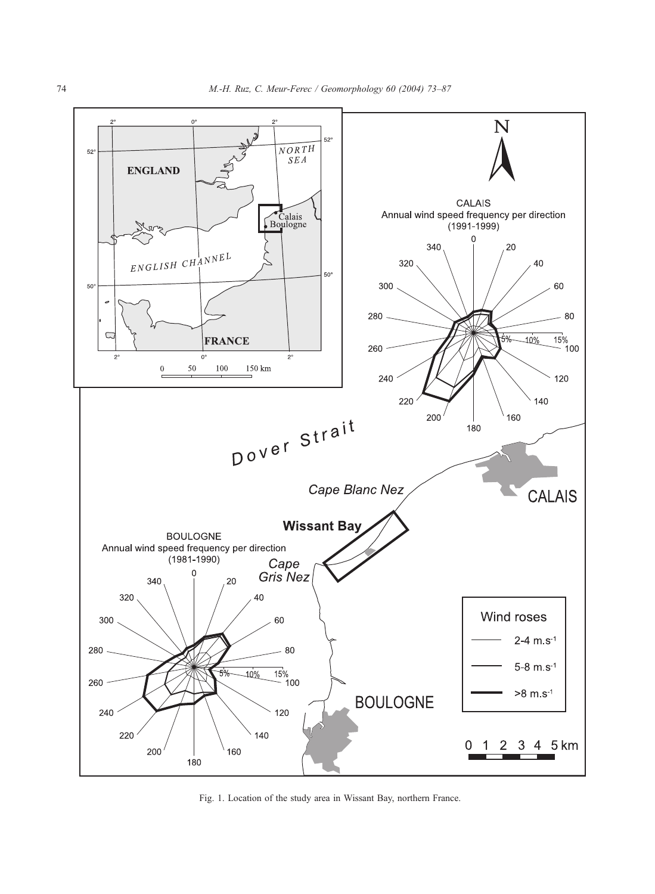<span id="page-1-0"></span>

Fig. 1. Location of the study area in Wissant Bay, northern France.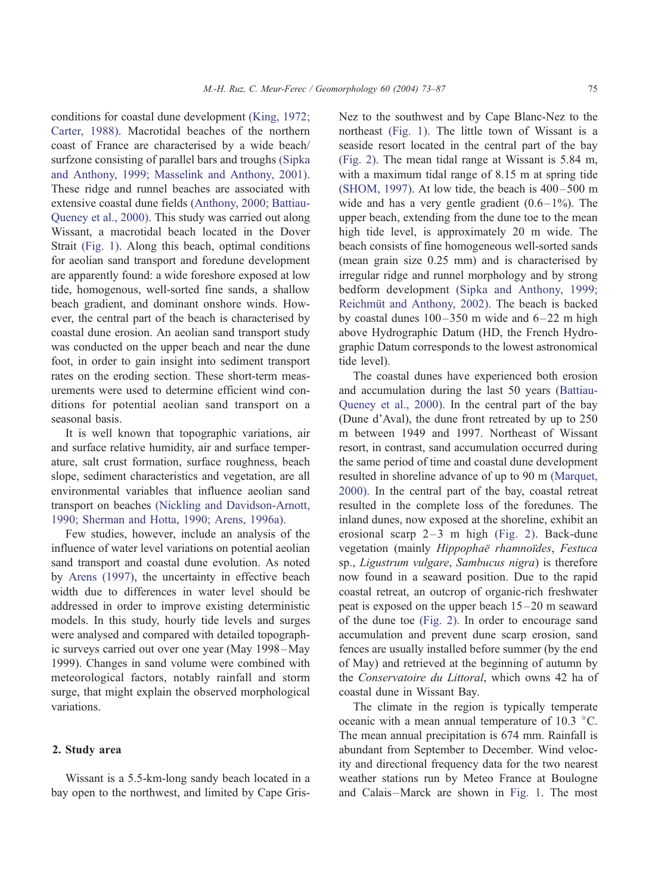conditions for coastal dune development [\(King, 1972;](#page-14-0) Carter, 1988). Macrotidal beaches of the northern coast of France are characterised by a wide beach/ surfzone consisting of parallel bars and troughs [\(Sipka](#page-14-0) and Anthony, 1999; Masselink and Anthony, 2001). These ridge and runnel beaches are associated with extensive coastal dune fields [\(Anthony, 2000; Battiau-](#page-13-0)Queney et al., 2000). This study was carried out along Wissant, a macrotidal beach located in the Dover Strait [\(Fig. 1\).](#page-1-0) Along this beach, optimal conditions for aeolian sand transport and foredune development are apparently found: a wide foreshore exposed at low tide, homogenous, well-sorted fine sands, a shallow beach gradient, and dominant onshore winds. However, the central part of the beach is characterised by coastal dune erosion. An aeolian sand transport study was conducted on the upper beach and near the dune foot, in order to gain insight into sediment transport rates on the eroding section. These short-term measurements were used to determine efficient wind conditions for potential aeolian sand transport on a seasonal basis.

It is well known that topographic variations, air and surface relative humidity, air and surface temperature, salt crust formation, surface roughness, beach slope, sediment characteristics and vegetation, are all environmental variables that influence aeolian sand transport on beaches [\(Nickling and Davidson-Arnott,](#page-14-0) 1990; Sherman and Hotta, 1990; Arens, 1996a).

Few studies, however, include an analysis of the influence of water level variations on potential aeolian sand transport and coastal dune evolution. As noted by [Arens \(1997\),](#page-13-0) the uncertainty in effective beach width due to differences in water level should be addressed in order to improve existing deterministic models. In this study, hourly tide levels and surges were analysed and compared with detailed topographic surveys carried out over one year (May 1998–May 1999). Changes in sand volume were combined with meteorological factors, notably rainfall and storm surge, that might explain the observed morphological variations.

## 2. Study area

Wissant is a 5.5-km-long sandy beach located in a bay open to the northwest, and limited by Cape GrisNez to the southwest and by Cape Blanc-Nez to the northeast [\(Fig. 1\).](#page-1-0) The little town of Wissant is a seaside resort located in the central part of the bay [\(Fig. 2\).](#page-3-0) The mean tidal range at Wissant is 5.84 m, with a maximum tidal range of 8.15 m at spring tide [\(SHOM, 1997\).](#page-14-0) At low tide, the beach is  $400-500$  m wide and has a very gentle gradient  $(0.6-1\%)$ . The upper beach, extending from the dune toe to the mean high tide level, is approximately 20 m wide. The beach consists of fine homogeneous well-sorted sands (mean grain size 0.25 mm) and is characterised by irregular ridge and runnel morphology and by strong bedform development [\(Sipka and Anthony, 1999;](#page-14-0) Reichmüt and Anthony, 2002). The beach is backed by coastal dunes  $100 - 350$  m wide and  $6 - 22$  m high above Hydrographic Datum (HD, the French Hydrographic Datum corresponds to the lowest astronomical tide level).

The coastal dunes have experienced both erosion and accumulation during the last 50 years [\(Battiau-](#page-13-0)Queney et al., 2000). In the central part of the bay (Dune d'Aval), the dune front retreated by up to 250 m between 1949 and 1997. Northeast of Wissant resort, in contrast, sand accumulation occurred during the same period of time and coastal dune development resulted in shoreline advance of up to 90 m [\(Marquet,](#page-14-0) 2000). In the central part of the bay, coastal retreat resulted in the complete loss of the foredunes. The inland dunes, now exposed at the shoreline, exhibit an erosional scarp  $2-3$  m high [\(Fig. 2\).](#page-3-0) Back-dune vegetation (mainly Hippophaë rhamnoïdes, Festuca sp., Ligustrum vulgare, Sambucus nigra) is therefore now found in a seaward position. Due to the rapid coastal retreat, an outcrop of organic-rich freshwater peat is exposed on the upper beach 15 –20 m seaward of the dune toe [\(Fig. 2\).](#page-3-0) In order to encourage sand accumulation and prevent dune scarp erosion, sand fences are usually installed before summer (by the end of May) and retrieved at the beginning of autumn by the Conservatoire du Littoral, which owns 42 ha of coastal dune in Wissant Bay.

The climate in the region is typically temperate oceanic with a mean annual temperature of  $10.3 \text{ °C}$ . The mean annual precipitation is 674 mm. Rainfall is abundant from September to December. Wind velocity and directional frequency data for the two nearest weather stations run by Meteo France at Boulogne and Calais –Marck are shown in [Fig. 1.](#page-1-0) The most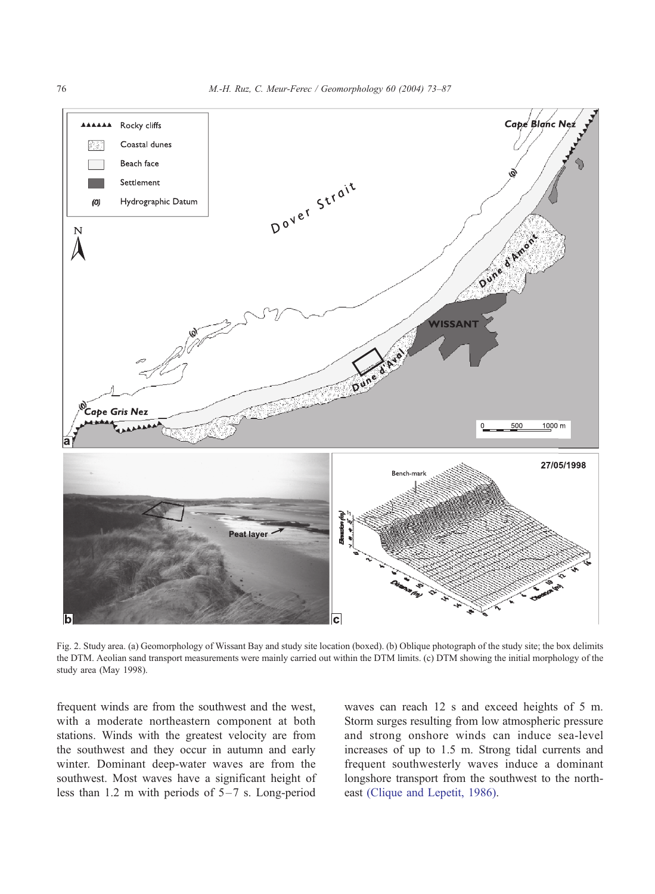

Fig. 2. Study area. (a) Geomorphology of Wissant Bay and study site location (boxed). (b) Oblique photograph of the study site; the box delimits the DTM. Aeolian sand transport measurements were mainly carried out within the DTM limits. (c) DTM showing the initial morphology of the study area (May 1998).

frequent winds are from the southwest and the west, with a moderate northeastern component at both stations. Winds with the greatest velocity are from the southwest and they occur in autumn and early winter. Dominant deep-water waves are from the southwest. Most waves have a significant height of less than 1.2 m with periods of  $5-7$  s. Long-period

waves can reach 12 s and exceed heights of 5 m. Storm surges resulting from low atmospheric pressure and strong onshore winds can induce sea-level increases of up to 1.5 m. Strong tidal currents and frequent southwesterly waves induce a dominant longshore transport from the southwest to the northeast [\(Clique and Lepetit, 1986\).](#page-14-0)

<span id="page-3-0"></span>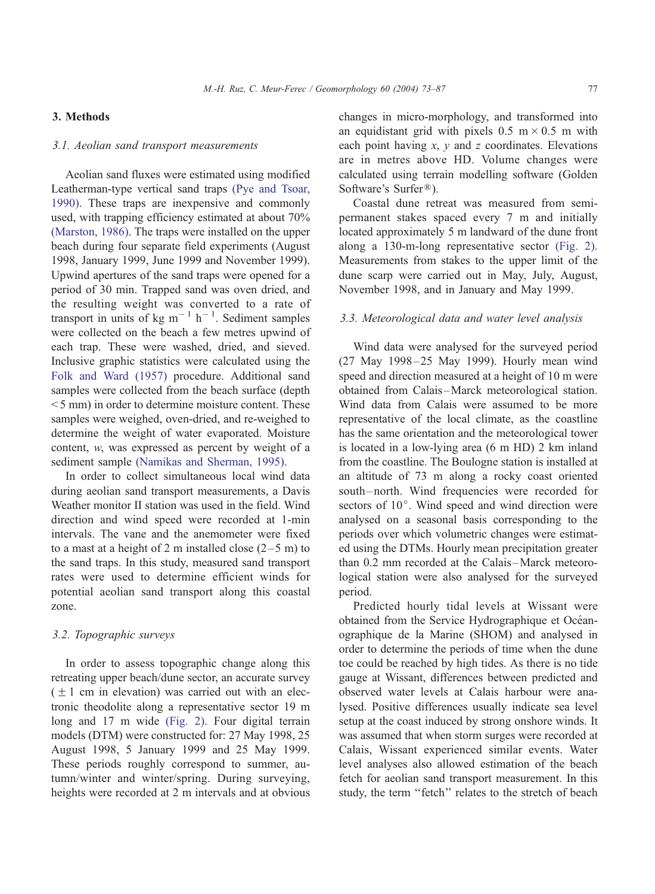# 3. Methods

# 3.1. Aeolian sand transport measurements

Aeolian sand fluxes were estimated using modified Leatherman-type vertical sand traps [\(Pye and Tsoar,](#page-14-0) 1990). These traps are inexpensive and commonly used, with trapping efficiency estimated at about 70% [\(Marston, 1986\).](#page-14-0) The traps were installed on the upper beach during four separate field experiments (August 1998, January 1999, June 1999 and November 1999). Upwind apertures of the sand traps were opened for a period of 30 min. Trapped sand was oven dried, and the resulting weight was converted to a rate of transport in units of  $kg \text{ m}^{-1} \text{ h}^{-1}$ . Sediment samples were collected on the beach a few metres upwind of each trap. These were washed, dried, and sieved. Inclusive graphic statistics were calculated using the [Folk and Ward \(1957\)](#page-14-0) procedure. Additional sand samples were collected from the beach surface (depth < 5 mm) in order to determine moisture content. These samples were weighed, oven-dried, and re-weighed to determine the weight of water evaporated. Moisture content, w, was expressed as percent by weight of a sediment sample [\(Namikas and Sherman, 1995\).](#page-14-0)

In order to collect simultaneous local wind data during aeolian sand transport measurements, a Davis Weather monitor II station was used in the field. Wind direction and wind speed were recorded at 1-min intervals. The vane and the anemometer were fixed to a mast at a height of 2 m installed close  $(2-5 \text{ m})$  to the sand traps. In this study, measured sand transport rates were used to determine efficient winds for potential aeolian sand transport along this coastal zone.

# 3.2. Topographic surveys

In order to assess topographic change along this retreating upper beach/dune sector, an accurate survey  $( + 1$  cm in elevation) was carried out with an electronic theodolite along a representative sector 19 m long and 17 m wide [\(Fig. 2\).](#page-3-0) Four digital terrain models (DTM) were constructed for: 27 May 1998, 25 August 1998, 5 January 1999 and 25 May 1999. These periods roughly correspond to summer, autumn/winter and winter/spring. During surveying, heights were recorded at 2 m intervals and at obvious

changes in micro-morphology, and transformed into an equidistant grid with pixels  $0.5 \text{ m} \times 0.5 \text{ m}$  with each point having  $x$ ,  $y$  and  $z$  coordinates. Elevations are in metres above HD. Volume changes were calculated using terrain modelling software (Golden Software's Surfer<sup>®</sup>).

Coastal dune retreat was measured from semipermanent stakes spaced every 7 m and initially located approximately 5 m landward of the dune front along a 130-m-long representative sector [\(Fig. 2\).](#page-3-0) Measurements from stakes to the upper limit of the dune scarp were carried out in May, July, August, November 1998, and in January and May 1999.

## 3.3. Meteorological data and water level analysis

Wind data were analysed for the surveyed period (27 May 1998-25 May 1999). Hourly mean wind speed and direction measured at a height of 10 m were obtained from Calais –Marck meteorological station. Wind data from Calais were assumed to be more representative of the local climate, as the coastline has the same orientation and the meteorological tower is located in a low-lying area (6 m HD) 2 km inland from the coastline. The Boulogne station is installed at an altitude of 73 m along a rocky coast oriented south-north. Wind frequencies were recorded for sectors of  $10^{\circ}$ . Wind speed and wind direction were analysed on a seasonal basis corresponding to the periods over which volumetric changes were estimated using the DTMs. Hourly mean precipitation greater than 0.2 mm recorded at the Calais-Marck meteorological station were also analysed for the surveyed period.

Predicted hourly tidal levels at Wissant were obtained from the Service Hydrographique et Océanographique de la Marine (SHOM) and analysed in order to determine the periods of time when the dune toe could be reached by high tides. As there is no tide gauge at Wissant, differences between predicted and observed water levels at Calais harbour were analysed. Positive differences usually indicate sea level setup at the coast induced by strong onshore winds. It was assumed that when storm surges were recorded at Calais, Wissant experienced similar events. Water level analyses also allowed estimation of the beach fetch for aeolian sand transport measurement. In this study, the term ''fetch'' relates to the stretch of beach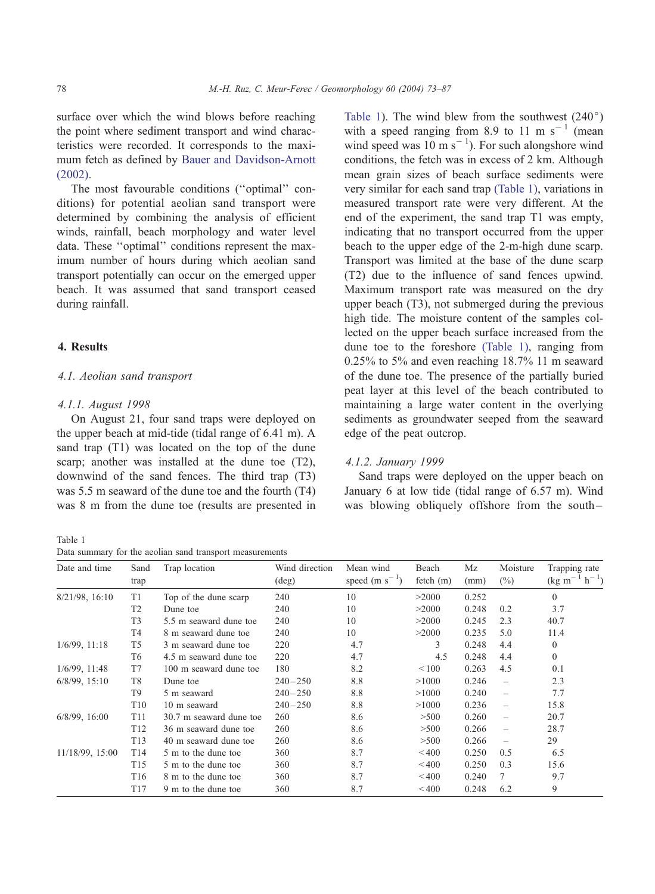<span id="page-5-0"></span>surface over which the wind blows before reaching the point where sediment transport and wind characteristics were recorded. It corresponds to the maximum fetch as defined by [Bauer and Davidson-Arnott](#page-13-0) (2002).

The most favourable conditions (''optimal'' conditions) for potential aeolian sand transport were determined by combining the analysis of efficient winds, rainfall, beach morphology and water level data. These ''optimal'' conditions represent the maximum number of hours during which aeolian sand transport potentially can occur on the emerged upper beach. It was assumed that sand transport ceased during rainfall.

# 4. Results

# 4.1. Aeolian sand transport

## 4.1.1. August 1998

On August 21, four sand traps were deployed on the upper beach at mid-tide (tidal range of 6.41 m). A sand trap (T1) was located on the top of the dune scarp; another was installed at the dune toe (T2), downwind of the sand fences. The third trap (T3) was 5.5 m seaward of the dune toe and the fourth (T4) was 8 m from the dune toe (results are presented in

Table 1

Data summary for the aeolian sand transport measurements

Table 1). The wind blew from the southwest  $(240^{\circ})$ with a speed ranging from 8.9 to 11 m s<sup> $-1$ </sup> (mean wind speed was  $10 \text{ m s}^{-1}$ ). For such alongshore wind conditions, the fetch was in excess of 2 km. Although mean grain sizes of beach surface sediments were very similar for each sand trap (Table 1), variations in measured transport rate were very different. At the end of the experiment, the sand trap T1 was empty, indicating that no transport occurred from the upper beach to the upper edge of the 2-m-high dune scarp. Transport was limited at the base of the dune scarp (T2) due to the influence of sand fences upwind. Maximum transport rate was measured on the dry upper beach (T3), not submerged during the previous high tide. The moisture content of the samples collected on the upper beach surface increased from the dune toe to the foreshore (Table 1), ranging from 0.25% to 5% and even reaching 18.7% 11 m seaward of the dune toe. The presence of the partially buried peat layer at this level of the beach contributed to maintaining a large water content in the overlying sediments as groundwater seeped from the seaward edge of the peat outcrop.

## 4.1.2. January 1999

Sand traps were deployed on the upper beach on January 6 at low tide (tidal range of 6.57 m). Wind was blowing obliquely offshore from the south-

| Date and time      | Sand<br>trap    | Trap location           | Wind direction<br>$(\text{deg})$ | Mean wind<br>speed (m $s^{-1}$ ) | Beach<br>fetch (m) | Mz<br>(mm) | Moisture<br>$(\%)$       | Trapping rate<br>$(\text{kg m}^{-1} \text{ h}^{-1})$ |
|--------------------|-----------------|-------------------------|----------------------------------|----------------------------------|--------------------|------------|--------------------------|------------------------------------------------------|
| $8/21/98$ , 16:10  | T <sub>1</sub>  | Top of the dune scarp   | 240                              | 10                               | >2000              | 0.252      |                          | $\Omega$                                             |
|                    | T <sub>2</sub>  | Dune toe                | 240                              | 10                               | >2000              | 0.248      | 0.2                      | 3.7                                                  |
|                    | T <sub>3</sub>  | 5.5 m seaward dune toe  | 240                              | 10                               | >2000              | 0.245      | 2.3                      | 40.7                                                 |
|                    | T4              | 8 m seaward dune toe    | 240                              | 10                               | >2000              | 0.235      | 5.0                      | 11.4                                                 |
| $1/6/99$ , $11:18$ | T <sub>5</sub>  | 3 m seaward dune toe    | 220                              | 4.7                              | 3                  | 0.248      | 4.4                      | $\mathbf{0}$                                         |
|                    | T <sub>6</sub>  | 4.5 m seaward dune toe  | 220                              | 4.7                              | 4.5                | 0.248      | 4.4                      | $\Omega$                                             |
| $1/6/99$ , 11:48   | T7              | 100 m seaward dune toe  | 180                              | 8.2                              | ${}_{\leq 100}$    | 0.263      | 4.5                      | 0.1                                                  |
| $6/8/99$ , $15:10$ | T <sub>8</sub>  | Dune toe                | $240 - 250$                      | 8.8                              | >1000              | 0.246      | $\overline{\phantom{0}}$ | 2.3                                                  |
|                    | T <sub>9</sub>  | 5 m seaward             | $240 - 250$                      | 8.8                              | >1000              | 0.240      |                          | 7.7                                                  |
|                    | T <sub>10</sub> | 10 m seaward            | $240 - 250$                      | 8.8                              | >1000              | 0.236      | $\overline{\phantom{0}}$ | 15.8                                                 |
| $6/8/99$ , 16:00   | T <sub>11</sub> | 30.7 m seaward dune toe | 260                              | 8.6                              | >500               | 0.260      | $\overline{\phantom{0}}$ | 20.7                                                 |
|                    | T <sub>12</sub> | 36 m seaward dune toe   | 260                              | 8.6                              | >500               | 0.266      | $\overline{\phantom{0}}$ | 28.7                                                 |
|                    | T <sub>13</sub> | 40 m seaward dune toe   | 260                              | 8.6                              | >500               | 0.266      |                          | 29                                                   |
| 11/18/99, 15:00    | T <sub>14</sub> | 5 m to the dune toe     | 360                              | 8.7                              | <400               | 0.250      | 0.5                      | 6.5                                                  |
|                    | T <sub>15</sub> | 5 m to the dune toe     | 360                              | 8.7                              | < 400              | 0.250      | 0.3                      | 15.6                                                 |
|                    | T <sub>16</sub> | 8 m to the dune toe     | 360                              | 8.7                              | < 400              | 0.240      | 7                        | 9.7                                                  |
|                    | T <sub>17</sub> | 9 m to the dune toe     | 360                              | 8.7                              | < 400              | 0.248      | 6.2                      | 9                                                    |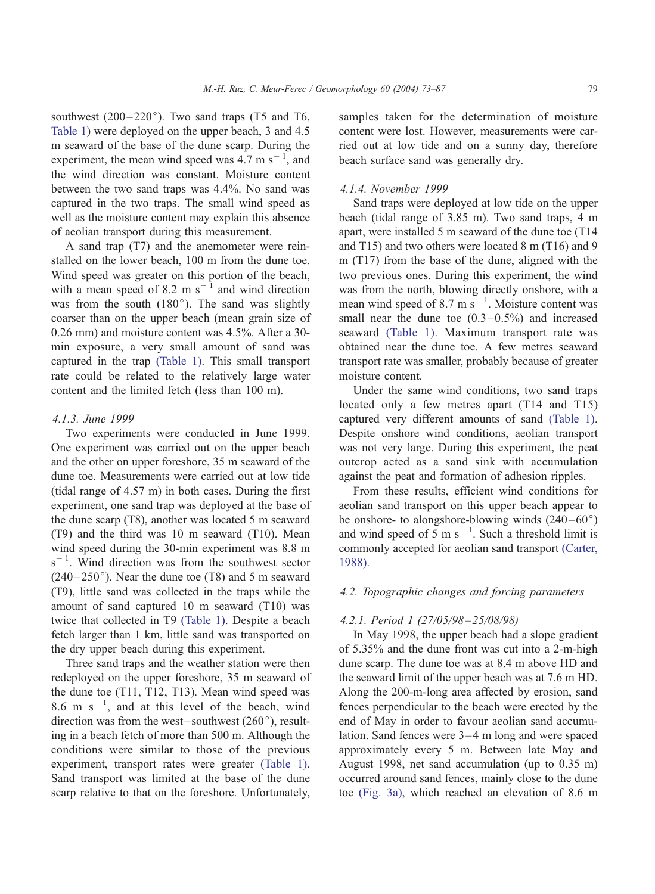southwest  $(200-220^{\circ})$ . Two sand traps (T5 and T6, [Table 1](#page-5-0)) were deployed on the upper beach, 3 and 4.5 m seaward of the base of the dune scarp. During the experiment, the mean wind speed was  $4.7 \text{ m s}^{-1}$ , and the wind direction was constant. Moisture content between the two sand traps was 4.4%. No sand was captured in the two traps. The small wind speed as well as the moisture content may explain this absence of aeolian transport during this measurement.

A sand trap (T7) and the anemometer were reinstalled on the lower beach, 100 m from the dune toe. Wind speed was greater on this portion of the beach, with a mean speed of 8.2 m  $s^{-1}$  and wind direction was from the south  $(180^{\circ})$ . The sand was slightly coarser than on the upper beach (mean grain size of 0.26 mm) and moisture content was 4.5%. After a 30 min exposure, a very small amount of sand was captured in the trap [\(Table 1\).](#page-5-0) This small transport rate could be related to the relatively large water content and the limited fetch (less than 100 m).

#### 4.1.3. June 1999

Two experiments were conducted in June 1999. One experiment was carried out on the upper beach and the other on upper foreshore, 35 m seaward of the dune toe. Measurements were carried out at low tide (tidal range of 4.57 m) in both cases. During the first experiment, one sand trap was deployed at the base of the dune scarp (T8), another was located 5 m seaward (T9) and the third was 10 m seaward (T10). Mean wind speed during the 30-min experiment was 8.8 m  $s^{-1}$ . Wind direction was from the southwest sector  $(240-250^{\circ})$ . Near the dune toe (T8) and 5 m seaward (T9), little sand was collected in the traps while the amount of sand captured 10 m seaward (T10) was twice that collected in T9 [\(Table 1\).](#page-5-0) Despite a beach fetch larger than 1 km, little sand was transported on the dry upper beach during this experiment.

Three sand traps and the weather station were then redeployed on the upper foreshore, 35 m seaward of the dune toe (T11, T12, T13). Mean wind speed was 8.6 m  $s^{-1}$ , and at this level of the beach, wind direction was from the west–southwest  $(260^{\circ})$ , resulting in a beach fetch of more than 500 m. Although the conditions were similar to those of the previous experiment, transport rates were greater [\(Table 1\).](#page-5-0) Sand transport was limited at the base of the dune scarp relative to that on the foreshore. Unfortunately,

samples taken for the determination of moisture content were lost. However, measurements were carried out at low tide and on a sunny day, therefore beach surface sand was generally dry.

# 4.1.4. November 1999

Sand traps were deployed at low tide on the upper beach (tidal range of 3.85 m). Two sand traps, 4 m apart, were installed 5 m seaward of the dune toe (T14 and T15) and two others were located 8 m (T16) and 9 m (T17) from the base of the dune, aligned with the two previous ones. During this experiment, the wind was from the north, blowing directly onshore, with a mean wind speed of 8.7 m  $\mathrm{s}^{-1}$ . Moisture content was small near the dune toe  $(0.3-0.5\%)$  and increased seaward [\(Table 1\).](#page-5-0) Maximum transport rate was obtained near the dune toe. A few metres seaward transport rate was smaller, probably because of greater moisture content.

Under the same wind conditions, two sand traps located only a few metres apart (T14 and T15) captured very different amounts of sand [\(Table 1\).](#page-5-0) Despite onshore wind conditions, aeolian transport was not very large. During this experiment, the peat outcrop acted as a sand sink with accumulation against the peat and formation of adhesion ripples.

From these results, efficient wind conditions for aeolian sand transport on this upper beach appear to be onshore- to alongshore-blowing winds  $(240-60^{\circ})$ and wind speed of  $5 \text{ m s}^{-1}$ . Such a threshold limit is commonly accepted for aeolian sand transport [\(Carter,](#page-14-0) 1988).

## 4.2. Topographic changes and forcing parameters

#### 4.2.1. Period 1 (27/05/98 – 25/08/98)

In May 1998, the upper beach had a slope gradient of 5.35% and the dune front was cut into a 2-m-high dune scarp. The dune toe was at 8.4 m above HD and the seaward limit of the upper beach was at 7.6 m HD. Along the 200-m-long area affected by erosion, sand fences perpendicular to the beach were erected by the end of May in order to favour aeolian sand accumulation. Sand fences were 3 –4 m long and were spaced approximately every 5 m. Between late May and August 1998, net sand accumulation (up to 0.35 m) occurred around sand fences, mainly close to the dune toe [\(Fig. 3a\),](#page-7-0) which reached an elevation of 8.6 m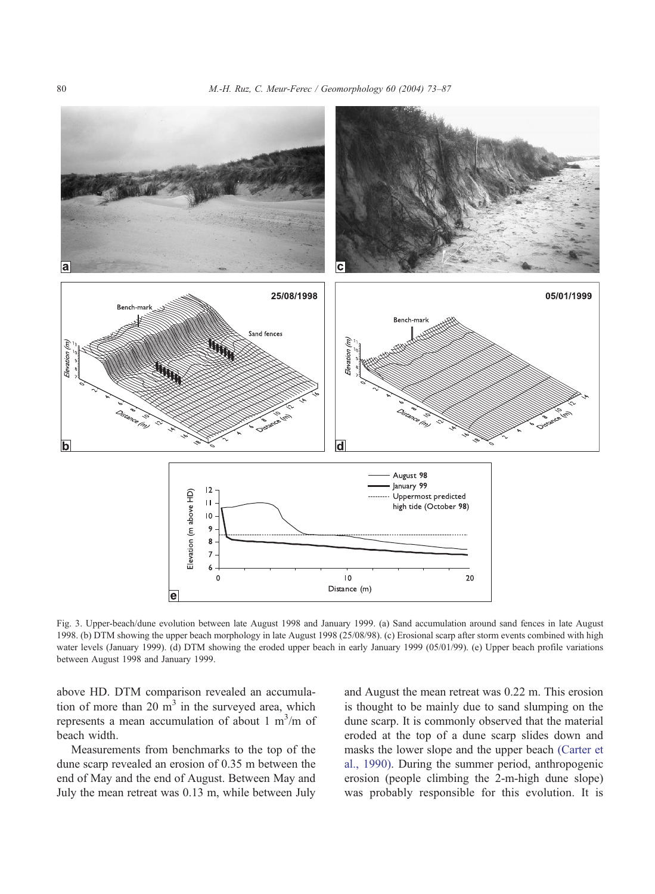<span id="page-7-0"></span>

Fig. 3. Upper-beach/dune evolution between late August 1998 and January 1999. (a) Sand accumulation around sand fences in late August 1998. (b) DTM showing the upper beach morphology in late August 1998 (25/08/98). (c) Erosional scarp after storm events combined with high water levels (January 1999). (d) DTM showing the eroded upper beach in early January 1999 (05/01/99). (e) Upper beach profile variations between August 1998 and January 1999.

above HD. DTM comparison revealed an accumulation of more than 20  $m<sup>3</sup>$  in the surveyed area, which represents a mean accumulation of about  $1 \text{ m}^3/\text{m}$  of beach width.

Measurements from benchmarks to the top of the dune scarp revealed an erosion of 0.35 m between the end of May and the end of August. Between May and July the mean retreat was 0.13 m, while between July and August the mean retreat was 0.22 m. This erosion is thought to be mainly due to sand slumping on the dune scarp. It is commonly observed that the material eroded at the top of a dune scarp slides down and masks the lower slope and the upper beach [\(Carter et](#page-14-0) al., 1990). During the summer period, anthropogenic erosion (people climbing the 2-m-high dune slope) was probably responsible for this evolution. It is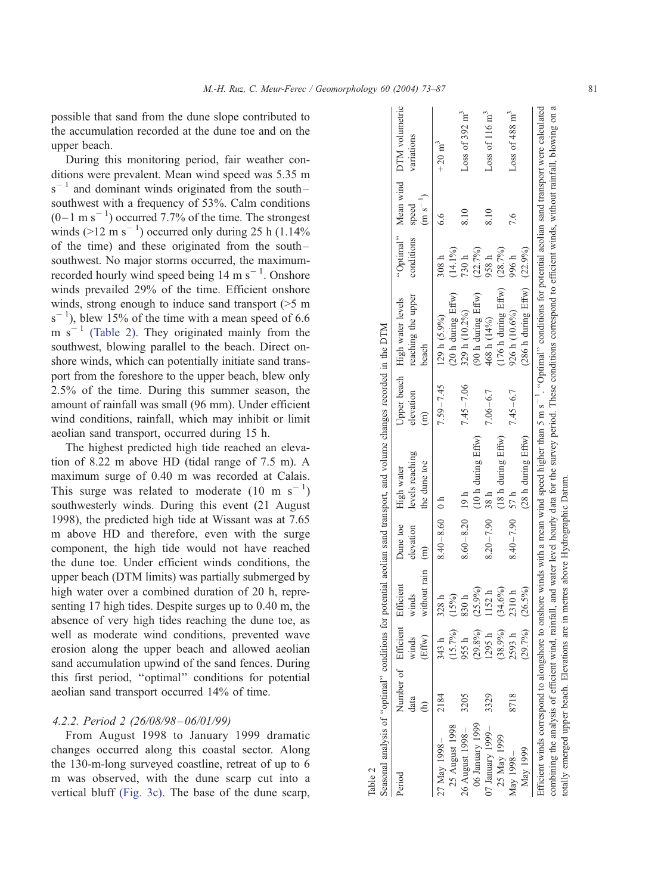<span id="page-8-0"></span>possible that sand from the dune slope contributed to the accumulation recorded at the dune toe and on the upper beach.

During this monitoring period, fair weather conditions were prevalent. Mean wind speed was 5.35 m  $s^{-1}$  and dominant winds originated from the southsouthwest with a frequency of 53%. Calm conditions  $(0-1 \text{ m s}^{-1})$  occurred 7.7% of the time. The strongest winds  $(>12 \text{ m s}^{-1})$  occurred only during 25 h (1.14%) of the time) and these originated from the south – southwest. No major storms occurred, the maximumrecorded hourly wind speed being  $14 \text{ m s}^{-1}$ . Onshore winds prevailed 29% of the time. Efficient onshore winds, strong enough to induce sand transport ( $>5$  m)  $s^{-1}$ ), blew 15% of the time with a mean speed of 6.6 m  $s^{-1}$  (Table 2). They originated mainly from the southwest, blowing parallel to the beach. Direct onshore winds, which can potentially initiate sand transport from the foreshore to the upper beach, blew only 2.5% of the time. During this summer season, the amount of rainfall was small (96 mm). Under efficient wind conditions, rainfall, which may inhibit or limit aeolian sand transport, occurred during 15 h.

The highest predicted high tide reached an elevation of 8.22 m above HD (tidal range of 7.5 m). A maximum surge of 0.40 m was recorded at Calais. This surge was related to moderate  $(10 \text{ m s}^{-1})$ southwesterly winds. During this event (21 August 1998), the predicted high tide at Wissant was at 7.65 m above HD and therefore, even with the surge component, the high tide would not have reached the dune toe. Under efficient winds conditions, the upper beach (DTM limits) was partially submerged by high water over a combined duration of 20 h, representing 17 high tides. Despite surges up to 0.40 m, the absence of very high tides reaching the dune toe, as well as moderate wind conditions, prevented wave erosion along the upper beach and allowed aeolian sand accumulation upwind of the sand fences. During this first period, ''optimal'' conditions for potential aeolian sand transport occurred 14% of time.

## 4.2.2. Period 2 (26/08/98 –06/01/99)

From August 1998 to January 1999 dramatic changes occurred along this coastal sector. Along the 130-m-long surveyed coastline, retreat of up to 6 m was observed, with the dune scarp cut into a vertical bluff [\(Fig. 3c\).](#page-7-0) The base of the dune scarp,

|                                         |                               |                       |                                         |                     | Seasonal analysis of "optimal" conditions for potential aeolian sand transport, and volume changes recorded in the DTM |                 |                                                                                                                                                                                              |            |              |                                    |
|-----------------------------------------|-------------------------------|-----------------------|-----------------------------------------|---------------------|------------------------------------------------------------------------------------------------------------------------|-----------------|----------------------------------------------------------------------------------------------------------------------------------------------------------------------------------------------|------------|--------------|------------------------------------|
| Period                                  | Number of Efficient Efficient |                       |                                         | Dune toe High water |                                                                                                                        |                 | Upper beach High water levels                                                                                                                                                                |            |              | "Optimal" Mean wind DTM volumetric |
|                                         | data                          | winds                 | winds                                   | elevation           | levels reaching                                                                                                        | elevation       | reaching the upper                                                                                                                                                                           | conditions | speed        | variations                         |
|                                         |                               | (Effw)                | without rain (m)                        |                     | the dune toe                                                                                                           | $\widehat{\Xi}$ | beach                                                                                                                                                                                        |            | $(m s^{-1})$ |                                    |
| 7 May 1998 –                            | 2184                          | 343 1                 | 328 h                                   | $8.40 - 8.60$ 0 h   |                                                                                                                        | $7.59 - 7.45$   | 129 h (5.9%)                                                                                                                                                                                 | 308h       | 6.6          | $+20 \text{ m}^3$                  |
| 25 August 1998                          |                               | (15.7%)               | (15%)                                   |                     |                                                                                                                        |                 | $(20 h$ during $Effw)$                                                                                                                                                                       | $(14.1\%)$ |              |                                    |
| 26 August 1998-                         | 3205                          | 955                   | 830h                                    | $8.60 - 8.20$ 19 h  |                                                                                                                        | $7.45 - 7.06$   | 329 h (10.2%)                                                                                                                                                                                | 730 h      | 8.10         | Loss of 392 $m^3$                  |
| 06 January 1999                         |                               | $(29.8\%)$            | (25.9%)                                 |                     | $(10 h$ during $Effw)$                                                                                                 |                 | (90 h during Effw)                                                                                                                                                                           | (22.7%)    |              |                                    |
| $7$ January $1999-$                     | 3329                          | 1295                  | 1152 h                                  | $8.20 - 7.90$ 38 h  |                                                                                                                        | $7.06 - 6.7$    | 468 h (14%)                                                                                                                                                                                  | 958 h      | 8.10         | Loss of $116 \text{ m}^3$          |
| 25 May 1999                             |                               | (38.9%)               | (9.69)                                  |                     | (18 h during Effw)                                                                                                     |                 | $(176 h)$ during $Effw$ )                                                                                                                                                                    | (28.7%)    |              |                                    |
| May 1998-                               | 8718                          | 2593                  | 2310h                                   | $8.40 - 7.90$ 57 h  |                                                                                                                        | $7.45 - 6.7$    | 926 h (10.6%)                                                                                                                                                                                | 996 h      | 7.6          | Loss of $488 \text{ m}^3$          |
| May 1999                                |                               | $(29.7\%)$ $(26.5\%)$ |                                         |                     | $(28 h$ during $Effw)$                                                                                                 |                 | $(286 h during Effw)$ $(22.9\%)$                                                                                                                                                             |            |              |                                    |
|                                         |                               |                       |                                         |                     |                                                                                                                        |                 | Efficient winds correspond to alongshore to onshore winds with a mean wind speed higher than 5 m s <sup>-1</sup> . "Optimal" conditions for potential aeolian sand transport were calculated |            |              |                                    |
|                                         |                               |                       |                                         |                     |                                                                                                                        |                 | combining the analysis of efficient wind, rainfall, and water level hourly data for the survey period. These conditions correspond to efficient winds, without rainfall, blowing on a        |            |              |                                    |
| totally emerged upper beach. Elevations |                               |                       | are in metres above Hydrographic Datum. |                     |                                                                                                                        |                 |                                                                                                                                                                                              |            |              |                                    |

Table 2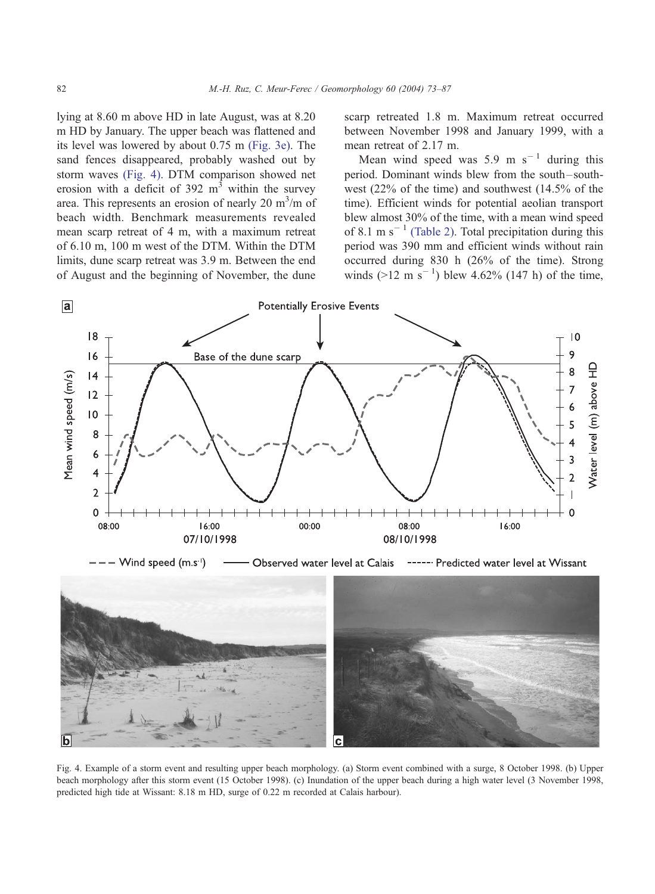<span id="page-9-0"></span>lying at 8.60 m above HD in late August, was at 8.20 m HD by January. The upper beach was flattened and its level was lowered by about 0.75 m [\(Fig. 3e\).](#page-7-0) The sand fences disappeared, probably washed out by storm waves (Fig. 4). DTM comparison showed net erosion with a deficit of  $392 \text{ m}^3$  within the survey area. This represents an erosion of nearly 20  $\text{m}^3/\text{m}$  of beach width. Benchmark measurements revealed mean scarp retreat of 4 m, with a maximum retreat of 6.10 m, 100 m west of the DTM. Within the DTM limits, dune scarp retreat was 3.9 m. Between the end of August and the beginning of November, the dune scarp retreated 1.8 m. Maximum retreat occurred between November 1998 and January 1999, with a mean retreat of 2.17 m.

Mean wind speed was 5.9 m  $s^{-1}$  during this period. Dominant winds blew from the south-southwest (22% of the time) and southwest (14.5% of the time). Efficient winds for potential aeolian transport blew almost 30% of the time, with a mean wind speed of 8.1 m s<sup> $-1$ </sup> [\(Table 2\).](#page-8-0) Total precipitation during this period was 390 mm and efficient winds without rain occurred during 830 h (26% of the time). Strong winds  $(>12 \text{ m s}^{-1})$  blew 4.62% (147 h) of the time,



Fig. 4. Example of a storm event and resulting upper beach morphology. (a) Storm event combined with a surge, 8 October 1998. (b) Upper beach morphology after this storm event (15 October 1998). (c) Inundation of the upper beach during a high water level (3 November 1998, predicted high tide at Wissant: 8.18 m HD, surge of 0.22 m recorded at Calais harbour).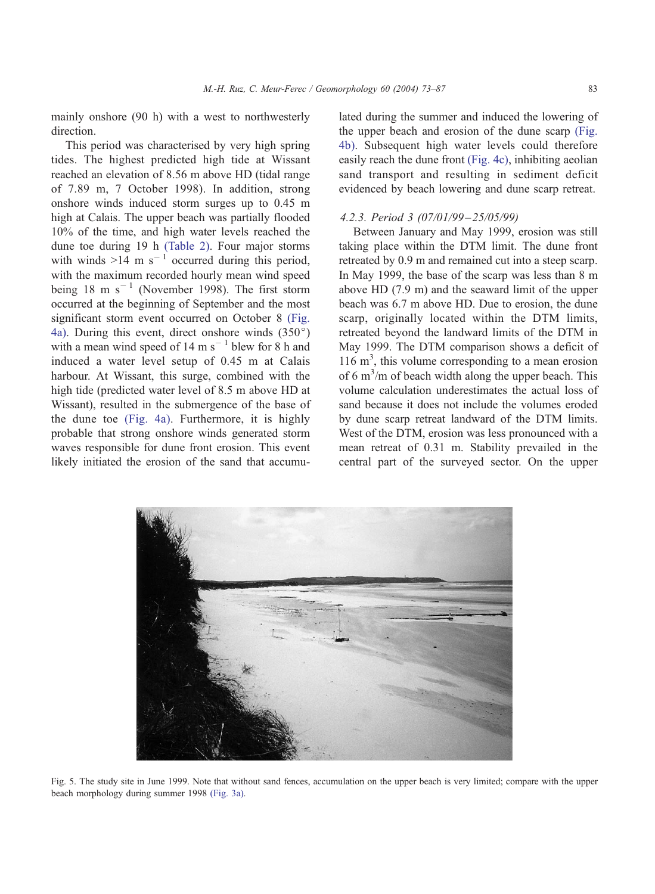<span id="page-10-0"></span>mainly onshore (90 h) with a west to northwesterly direction.

This period was characterised by very high spring tides. The highest predicted high tide at Wissant reached an elevation of 8.56 m above HD (tidal range of 7.89 m, 7 October 1998). In addition, strong onshore winds induced storm surges up to 0.45 m high at Calais. The upper beach was partially flooded 10% of the time, and high water levels reached the dune toe during 19 h [\(Table 2\).](#page-8-0) Four major storms with winds  $>14$  m s<sup>-1</sup> occurred during this period, with the maximum recorded hourly mean wind speed being 18 m  $s^{-1}$  (November 1998). The first storm occurred at the beginning of September and the most significant storm event occurred on October 8 [\(Fig.](#page-9-0) 4a). During this event, direct onshore winds  $(350^{\circ})$ with a mean wind speed of  $14 \text{ m s}^{-1}$  blew for 8 h and induced a water level setup of 0.45 m at Calais harbour. At Wissant, this surge, combined with the high tide (predicted water level of 8.5 m above HD at Wissant), resulted in the submergence of the base of the dune toe [\(Fig. 4a\).](#page-9-0) Furthermore, it is highly probable that strong onshore winds generated storm waves responsible for dune front erosion. This event likely initiated the erosion of the sand that accumulated during the summer and induced the lowering of the upper beach and erosion of the dune scarp [\(Fig.](#page-9-0) 4b). Subsequent high water levels could therefore easily reach the dune front [\(Fig. 4c\),](#page-9-0) inhibiting aeolian sand transport and resulting in sediment deficit evidenced by beach lowering and dune scarp retreat.

## 4.2.3. Period 3 (07/01/99 – 25/05/99)

Between January and May 1999, erosion was still taking place within the DTM limit. The dune front retreated by 0.9 m and remained cut into a steep scarp. In May 1999, the base of the scarp was less than 8 m above HD (7.9 m) and the seaward limit of the upper beach was 6.7 m above HD. Due to erosion, the dune scarp, originally located within the DTM limits, retreated beyond the landward limits of the DTM in May 1999. The DTM comparison shows a deficit of 116 m3 , this volume corresponding to a mean erosion of 6  $\text{m}^3/\text{m}$  of beach width along the upper beach. This volume calculation underestimates the actual loss of sand because it does not include the volumes eroded by dune scarp retreat landward of the DTM limits. West of the DTM, erosion was less pronounced with a mean retreat of 0.31 m. Stability prevailed in the central part of the surveyed sector. On the upper



Fig. 5. The study site in June 1999. Note that without sand fences, accumulation on the upper beach is very limited; compare with the upper beach morphology during summer 1998 [\(Fig. 3a\).](#page-7-0)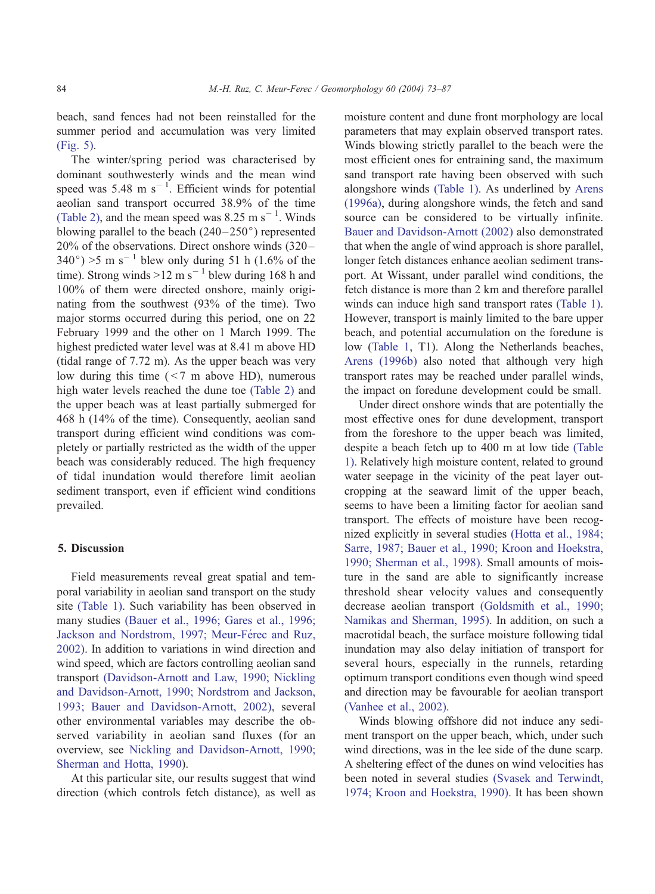beach, sand fences had not been reinstalled for the summer period and accumulation was very limited [\(Fig. 5\).](#page-10-0)

The winter/spring period was characterised by dominant southwesterly winds and the mean wind speed was 5.48 m  $s^{-1}$ . Efficient winds for potential aeolian sand transport occurred 38.9% of the time [\(Table 2\),](#page-8-0) and the mean speed was  $8.25 \text{ m s}^{-1}$ . Winds blowing parallel to the beach  $(240-250)$  represented 20% of the observations. Direct onshore winds (320 –  $340^{\circ}$ ) > 5 m s<sup>-1</sup> blew only during 51 h (1.6% of the time). Strong winds  $>12$  m s<sup>-1</sup> blew during 168 h and 100% of them were directed onshore, mainly originating from the southwest (93% of the time). Two major storms occurred during this period, one on 22 February 1999 and the other on 1 March 1999. The highest predicted water level was at 8.41 m above HD (tidal range of 7.72 m). As the upper beach was very low during this time  $(< 7 \text{ m}$  above HD), numerous high water levels reached the dune toe [\(Table 2\)](#page-8-0) and the upper beach was at least partially submerged for 468 h (14% of the time). Consequently, aeolian sand transport during efficient wind conditions was completely or partially restricted as the width of the upper beach was considerably reduced. The high frequency of tidal inundation would therefore limit aeolian sediment transport, even if efficient wind conditions prevailed.

## 5. Discussion

Field measurements reveal great spatial and temporal variability in aeolian sand transport on the study site [\(Table 1\).](#page-5-0) Such variability has been observed in many studies [\(Bauer et al., 1996; Gares et al., 1996;](#page-13-0) Jackson and Nordstrom, 1997; Meur-Férec and Ruz, 2002). In addition to variations in wind direction and wind speed, which are factors controlling aeolian sand transport [\(Davidson-Arnott and Law, 1990; Nickling](#page-14-0) and Davidson-Arnott, 1990; Nordstrom and Jackson, 1993; Bauer and Davidson-Arnott, 2002), several other environmental variables may describe the observed variability in aeolian sand fluxes (for an overview, see [Nickling and Davidson-Arnott, 1990;](#page-14-0) Sherman and Hotta, 1990).

At this particular site, our results suggest that wind direction (which controls fetch distance), as well as moisture content and dune front morphology are local parameters that may explain observed transport rates. Winds blowing strictly parallel to the beach were the most efficient ones for entraining sand, the maximum sand transport rate having been observed with such alongshore winds [\(Table 1\).](#page-5-0) As underlined by [Arens](#page-13-0) (1996a), during alongshore winds, the fetch and sand source can be considered to be virtually infinite. [Bauer and Davidson-Arnott \(2002\)](#page-13-0) also demonstrated that when the angle of wind approach is shore parallel, longer fetch distances enhance aeolian sediment transport. At Wissant, under parallel wind conditions, the fetch distance is more than 2 km and therefore parallel winds can induce high sand transport rates [\(Table 1\).](#page-5-0) However, transport is mainly limited to the bare upper beach, and potential accumulation on the foredune is low ([Table 1,](#page-5-0) T1). Along the Netherlands beaches, [Arens \(1996b\)](#page-13-0) also noted that although very high transport rates may be reached under parallel winds, the impact on foredune development could be small.

Under direct onshore winds that are potentially the most effective ones for dune development, transport from the foreshore to the upper beach was limited, despite a beach fetch up to 400 m at low tide [\(Table](#page-5-0) 1). Relatively high moisture content, related to ground water seepage in the vicinity of the peat layer outcropping at the seaward limit of the upper beach, seems to have been a limiting factor for aeolian sand transport. The effects of moisture have been recognized explicitly in several studies [\(Hotta et al., 1984;](#page-14-0) Sarre, 1987; Bauer et al., 1990; Kroon and Hoekstra, 1990; Sherman et al., 1998). Small amounts of moisture in the sand are able to significantly increase threshold shear velocity values and consequently decrease aeolian transport [\(Goldsmith et al., 1990;](#page-14-0) Namikas and Sherman, 1995). In addition, on such a macrotidal beach, the surface moisture following tidal inundation may also delay initiation of transport for several hours, especially in the runnels, retarding optimum transport conditions even though wind speed and direction may be favourable for aeolian transport [\(Vanhee et al., 2002\).](#page-14-0)

Winds blowing offshore did not induce any sediment transport on the upper beach, which, under such wind directions, was in the lee side of the dune scarp. A sheltering effect of the dunes on wind velocities has been noted in several studies [\(Svasek and Terwindt,](#page-14-0) 1974; Kroon and Hoekstra, 1990). It has been shown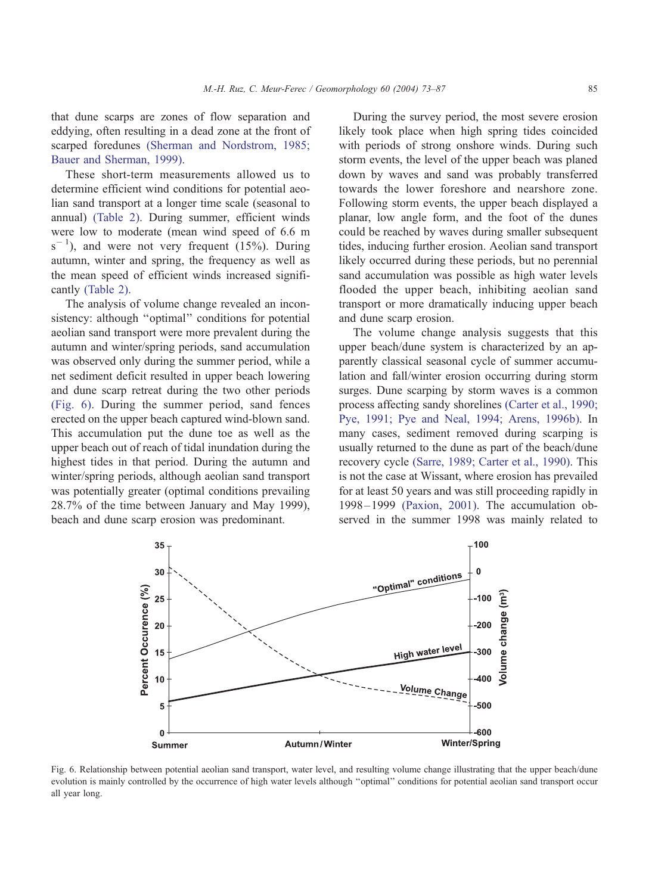that dune scarps are zones of flow separation and eddying, often resulting in a dead zone at the front of scarped foredunes [\(Sherman and Nordstrom, 1985;](#page-14-0) Bauer and Sherman, 1999).

These short-term measurements allowed us to determine efficient wind conditions for potential aeolian sand transport at a longer time scale (seasonal to annual) [\(Table 2\).](#page-8-0) During summer, efficient winds were low to moderate (mean wind speed of 6.6 m  $s^{-1}$ ), and were not very frequent (15%). During autumn, winter and spring, the frequency as well as the mean speed of efficient winds increased significantly [\(Table 2\).](#page-8-0)

The analysis of volume change revealed an inconsistency: although "optimal" conditions for potential aeolian sand transport were more prevalent during the autumn and winter/spring periods, sand accumulation was observed only during the summer period, while a net sediment deficit resulted in upper beach lowering and dune scarp retreat during the two other periods (Fig. 6). During the summer period, sand fences erected on the upper beach captured wind-blown sand. This accumulation put the dune toe as well as the upper beach out of reach of tidal inundation during the highest tides in that period. During the autumn and winter/spring periods, although aeolian sand transport was potentially greater (optimal conditions prevailing 28.7% of the time between January and May 1999), beach and dune scarp erosion was predominant.

During the survey period, the most severe erosion likely took place when high spring tides coincided with periods of strong onshore winds. During such storm events, the level of the upper beach was planed down by waves and sand was probably transferred towards the lower foreshore and nearshore zone. Following storm events, the upper beach displayed a planar, low angle form, and the foot of the dunes could be reached by waves during smaller subsequent tides, inducing further erosion. Aeolian sand transport likely occurred during these periods, but no perennial sand accumulation was possible as high water levels flooded the upper beach, inhibiting aeolian sand transport or more dramatically inducing upper beach and dune scarp erosion.

The volume change analysis suggests that this upper beach/dune system is characterized by an apparently classical seasonal cycle of summer accumulation and fall/winter erosion occurring during storm surges. Dune scarping by storm waves is a common process affecting sandy shorelines [\(Carter et al., 1990;](#page-14-0) Pye, 1991; Pye and Neal, 1994; Arens, 1996b). In many cases, sediment removed during scarping is usually returned to the dune as part of the beach/dune recovery cycle [\(Sarre, 1989; Carter et al., 1990\).](#page-14-0) This is not the case at Wissant, where erosion has prevailed for at least 50 years and was still proceeding rapidly in 1998 – 1999 [\(Paxion, 2001\).](#page-14-0) The accumulation observed in the summer 1998 was mainly related to



Fig. 6. Relationship between potential aeolian sand transport, water level, and resulting volume change illustrating that the upper beach/dune evolution is mainly controlled by the occurrence of high water levels although ''optimal'' conditions for potential aeolian sand transport occur all year long.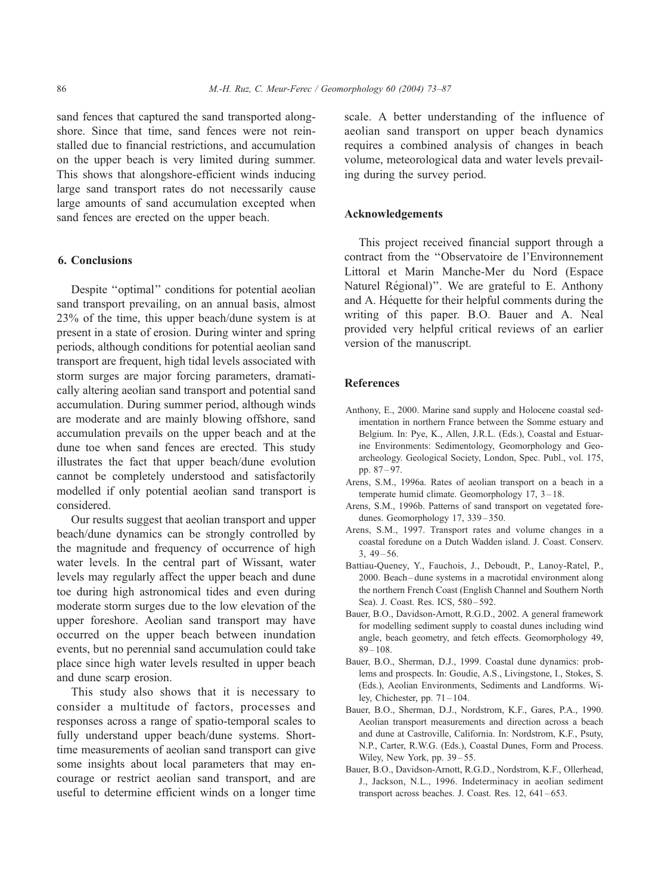<span id="page-13-0"></span>sand fences that captured the sand transported alongshore. Since that time, sand fences were not reinstalled due to financial restrictions, and accumulation on the upper beach is very limited during summer. This shows that alongshore-efficient winds inducing large sand transport rates do not necessarily cause large amounts of sand accumulation excepted when sand fences are erected on the upper beach.

## 6. Conclusions

Despite ''optimal'' conditions for potential aeolian sand transport prevailing, on an annual basis, almost 23% of the time, this upper beach/dune system is at present in a state of erosion. During winter and spring periods, although conditions for potential aeolian sand transport are frequent, high tidal levels associated with storm surges are major forcing parameters, dramatically altering aeolian sand transport and potential sand accumulation. During summer period, although winds are moderate and are mainly blowing offshore, sand accumulation prevails on the upper beach and at the dune toe when sand fences are erected. This study illustrates the fact that upper beach/dune evolution cannot be completely understood and satisfactorily modelled if only potential aeolian sand transport is considered.

Our results suggest that aeolian transport and upper beach/dune dynamics can be strongly controlled by the magnitude and frequency of occurrence of high water levels. In the central part of Wissant, water levels may regularly affect the upper beach and dune toe during high astronomical tides and even during moderate storm surges due to the low elevation of the upper foreshore. Aeolian sand transport may have occurred on the upper beach between inundation events, but no perennial sand accumulation could take place since high water levels resulted in upper beach and dune scarp erosion.

This study also shows that it is necessary to consider a multitude of factors, processes and responses across a range of spatio-temporal scales to fully understand upper beach/dune systems. Shorttime measurements of aeolian sand transport can give some insights about local parameters that may encourage or restrict aeolian sand transport, and are useful to determine efficient winds on a longer time scale. A better understanding of the influence of aeolian sand transport on upper beach dynamics requires a combined analysis of changes in beach volume, meteorological data and water levels prevailing during the survey period.

## Acknowledgements

This project received financial support through a contract from the ''Observatoire de l'Environnement Littoral et Marin Manche-Mer du Nord (Espace Naturel Régional)". We are grateful to E. Anthony and A. Héquette for their helpful comments during the writing of this paper. B.O. Bauer and A. Neal provided very helpful critical reviews of an earlier version of the manuscript.

## References

- Anthony, E., 2000. Marine sand supply and Holocene coastal sedimentation in northern France between the Somme estuary and Belgium. In: Pye, K., Allen, J.R.L. (Eds.), Coastal and Estuarine Environments: Sedimentology, Geomorphology and Geoarcheology. Geological Society, London, Spec. Publ., vol. 175, pp. 87 – 97.
- Arens, S.M., 1996a. Rates of aeolian transport on a beach in a temperate humid climate. Geomorphology 17, 3-18.
- Arens, S.M., 1996b. Patterns of sand transport on vegetated foredunes. Geomorphology 17, 339-350.
- Arens, S.M., 1997. Transport rates and volume changes in a coastal foredune on a Dutch Wadden island. J. Coast. Conserv.  $3, 49 - 56.$
- Battiau-Queney, Y., Fauchois, J., Deboudt, P., Lanoy-Ratel, P., 2000. Beach – dune systems in a macrotidal environment along the northern French Coast (English Channel and Southern North Sea). J. Coast. Res. ICS, 580-592.
- Bauer, B.O., Davidson-Arnott, R.G.D., 2002. A general framework for modelling sediment supply to coastal dunes including wind angle, beach geometry, and fetch effects. Geomorphology 49,  $89 - 108.$
- Bauer, B.O., Sherman, D.J., 1999. Coastal dune dynamics: problems and prospects. In: Goudie, A.S., Livingstone, I., Stokes, S. (Eds.), Aeolian Environments, Sediments and Landforms. Wiley, Chichester, pp.  $71 - 104$ .
- Bauer, B.O., Sherman, D.J., Nordstrom, K.F., Gares, P.A., 1990. Aeolian transport measurements and direction across a beach and dune at Castroville, California. In: Nordstrom, K.F., Psuty, N.P., Carter, R.W.G. (Eds.), Coastal Dunes, Form and Process. Wiley, New York, pp. 39–55.
- Bauer, B.O., Davidson-Arnott, R.G.D., Nordstrom, K.F., Ollerhead, J., Jackson, N.L., 1996. Indeterminacy in aeolian sediment transport across beaches. J. Coast. Res. 12, 641-653.